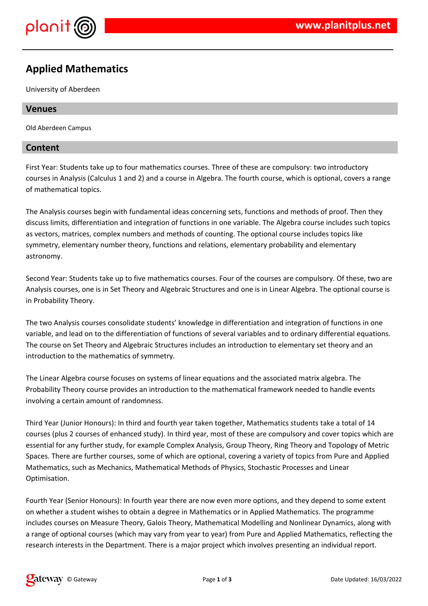

# **Applied Mathematics**

University of Aberdeen

## **Venues**

Old Aberdeen Campus

## **Content**

First Year: Students take up to four mathematics courses. Three of these are compulsory: two introductory courses in Analysis (Calculus 1 and 2) and a course in Algebra. The fourth course, which is optional, covers a range of mathematical topics.

The Analysis courses begin with fundamental ideas concerning sets, functions and methods of proof. Then they discuss limits, differentiation and integration of functions in one variable. The Algebra course includes such topics as vectors, matrices, complex numbers and methods of counting. The optional course includes topics like symmetry, elementary number theory, functions and relations, elementary probability and elementary astronomy.

Second Year: Students take up to five mathematics courses. Four of the courses are compulsory. Of these, two are Analysis courses, one is in Set Theory and Algebraic Structures and one is in Linear Algebra. The optional course is in Probability Theory.

The two Analysis courses consolidate students' knowledge in differentiation and integration of functions in one variable, and lead on to the differentiation of functions of several variables and to ordinary differential equations. The course on Set Theory and Algebraic Structures includes an introduction to elementary set theory and an introduction to the mathematics of symmetry.

The Linear Algebra course focuses on systems of linear equations and the associated matrix algebra. The Probability Theory course provides an introduction to the mathematical framework needed to handle events involving a certain amount of randomness.

Third Year (Junior Honours): In third and fourth year taken together, Mathematics students take a total of 14 courses (plus 2 courses of enhanced study). In third year, most of these are compulsory and cover topics which are essential for any further study, for example Complex Analysis, Group Theory, Ring Theory and Topology of Metric Spaces. There are further courses, some of which are optional, covering a variety of topics from Pure and Applied Mathematics, such as Mechanics, Mathematical Methods of Physics, Stochastic Processes and Linear Optimisation.

Fourth Year (Senior Honours): In fourth year there are now even more options, and they depend to some extent on whether a student wishes to obtain a degree in Mathematics or in Applied Mathematics. The programme includes courses on Measure Theory, Galois Theory, Mathematical Modelling and Nonlinear Dynamics, along with a range of optional courses (which may vary from year to year) from Pure and Applied Mathematics, reflecting the research interests in the Department. There is a major project which involves presenting an individual report.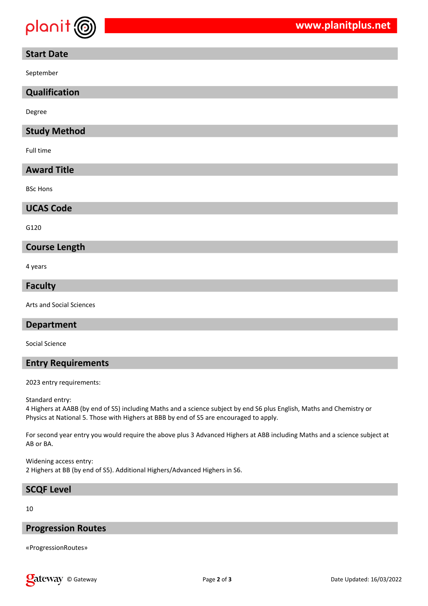

## **Start Date**

September

## **Qualification**

Degree

## **Study Method**

Full time

## **Award Title**

BSc Hons

#### **UCAS Code**

G120

#### **Course Length**

4 years

#### **Faculty**

Arts and Social Sciences

#### **Department**

Social Science

## **Entry Requirements**

2023 entry requirements:

Standard entry:

4 Highers at AABB (by end of S5) including Maths and a science subject by end S6 plus English, Maths and Chemistry or Physics at National 5. Those with Highers at BBB by end of S5 are encouraged to apply.

For second year entry you would require the above plus 3 Advanced Highers at ABB including Maths and a science subject at AB or BA.

Widening access entry: 2 Highers at BB (by end of S5). Additional Highers/Advanced Highers in S6.

#### **SCQF Level**

10

#### **Progression Routes**

«ProgressionRoutes»